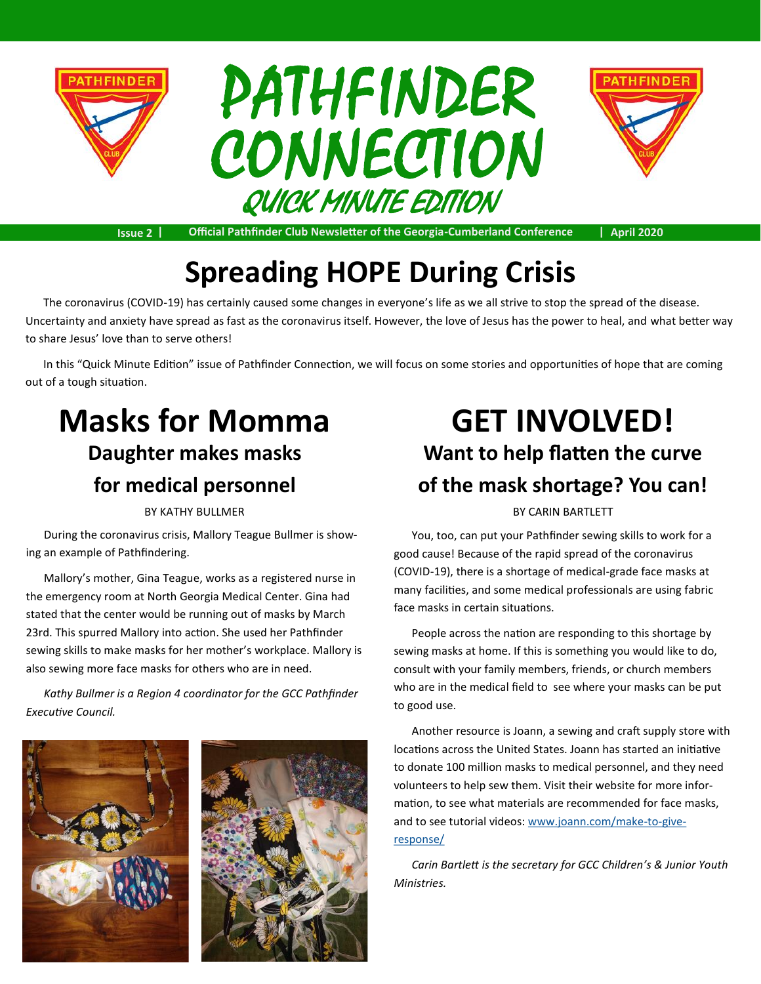





**Issue 2 | Official Pathfinder Club Newsletter of the Georgia-Cumberland Conference | April 2020**

# **Spreading HOPE During Crisis**

The coronavirus (COVID-19) has certainly caused some changes in everyone's life as we all strive to stop the spread of the disease. Uncertainty and anxiety have spread as fast as the coronavirus itself. However, the love of Jesus has the power to heal, and what better way to share Jesus' love than to serve others!

In this "Quick Minute Edition" issue of Pathfinder Connection, we will focus on some stories and opportunities of hope that are coming out of a tough situation.

## **Masks for Momma Daughter makes masks for medical personnel**

During the coronavirus crisis, Mallory Teague Bullmer is showing an example of Pathfindering.

Mallory's mother, Gina Teague, works as a registered nurse in the emergency room at North Georgia Medical Center. Gina had stated that the center would be running out of masks by March 23rd. This spurred Mallory into action. She used her Pathfinder sewing skills to make masks for her mother's workplace. Mallory is also sewing more face masks for others who are in need.

*Kathy Bullmer is a Region 4 coordinator for the GCC Pathfinder Executive Council.*





## **GET INVOLVED! Want to help flatten the curve of the mask shortage? You can!**

BY KATHY BULLMER BY CARIN BARTLETT

You, too, can put your Pathfinder sewing skills to work for a good cause! Because of the rapid spread of the coronavirus (COVID-19), there is a shortage of medical-grade face masks at many facilities, and some medical professionals are using fabric face masks in certain situations.

People across the nation are responding to this shortage by sewing masks at home. If this is something you would like to do, consult with your family members, friends, or church members who are in the medical field to see where your masks can be put to good use.

Another resource is Joann, a sewing and craft supply store with locations across the United States. Joann has started an initiative to donate 100 million masks to medical personnel, and they need volunteers to help sew them. Visit their website for more information, to see what materials are recommended for face masks, and to see tutorial videos: [www.joann.com/make](https://www.joann.com/make-to-give-response/)-to-give[response/](https://www.joann.com/make-to-give-response/)

*Carin Bartlett is the secretary for GCC Children's & Junior Youth Ministries.*